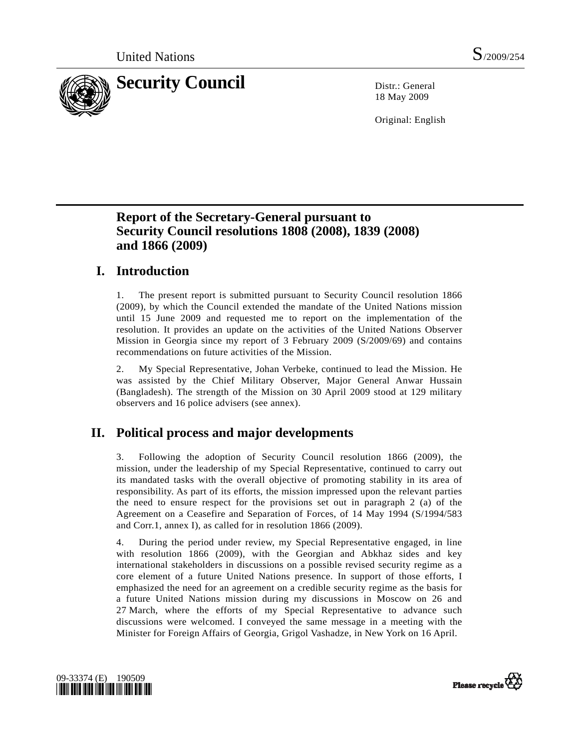

18 May 2009

Original: English

### **Report of the Secretary-General pursuant to Security Council resolutions 1808 (2008), 1839 (2008) and 1866 (2009)**

### **I. Introduction**

1. The present report is submitted pursuant to Security Council resolution 1866 (2009), by which the Council extended the mandate of the United Nations mission until 15 June 2009 and requested me to report on the implementation of the resolution. It provides an update on the activities of the United Nations Observer Mission in Georgia since my report of 3 February 2009 (S/2009/69) and contains recommendations on future activities of the Mission.

2. My Special Representative, Johan Verbeke, continued to lead the Mission. He was assisted by the Chief Military Observer, Major General Anwar Hussain (Bangladesh). The strength of the Mission on 30 April 2009 stood at 129 military observers and 16 police advisers (see annex).

### **II. Political process and major developments**

3. Following the adoption of Security Council resolution 1866 (2009), the mission, under the leadership of my Special Representative, continued to carry out its mandated tasks with the overall objective of promoting stability in its area of responsibility. As part of its efforts, the mission impressed upon the relevant parties the need to ensure respect for the provisions set out in paragraph 2 (a) of the Agreement on a Ceasefire and Separation of Forces, of 14 May 1994 (S/1994/583 and Corr.1, annex I), as called for in resolution 1866 (2009).

4. During the period under review, my Special Representative engaged, in line with resolution 1866 (2009), with the Georgian and Abkhaz sides and key international stakeholders in discussions on a possible revised security regime as a core element of a future United Nations presence. In support of those efforts, I emphasized the need for an agreement on a credible security regime as the basis for a future United Nations mission during my discussions in Moscow on 26 and 27 March, where the efforts of my Special Representative to advance such discussions were welcomed. I conveyed the same message in a meeting with the Minister for Foreign Affairs of Georgia, Grigol Vashadze, in New York on 16 April.



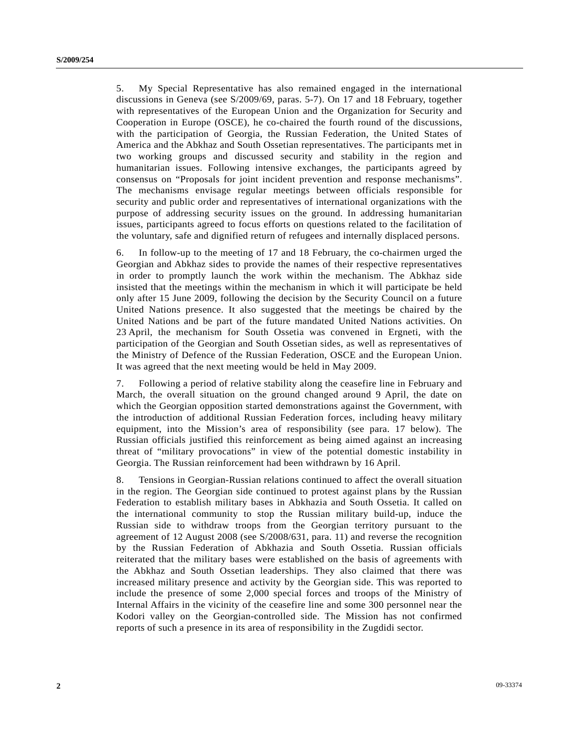5. My Special Representative has also remained engaged in the international discussions in Geneva (see S/2009/69, paras. 5-7). On 17 and 18 February, together with representatives of the European Union and the Organization for Security and Cooperation in Europe (OSCE), he co-chaired the fourth round of the discussions, with the participation of Georgia, the Russian Federation, the United States of America and the Abkhaz and South Ossetian representatives. The participants met in two working groups and discussed security and stability in the region and humanitarian issues. Following intensive exchanges, the participants agreed by consensus on "Proposals for joint incident prevention and response mechanisms". The mechanisms envisage regular meetings between officials responsible for security and public order and representatives of international organizations with the purpose of addressing security issues on the ground. In addressing humanitarian issues, participants agreed to focus efforts on questions related to the facilitation of the voluntary, safe and dignified return of refugees and internally displaced persons.

6. In follow-up to the meeting of 17 and 18 February, the co-chairmen urged the Georgian and Abkhaz sides to provide the names of their respective representatives in order to promptly launch the work within the mechanism. The Abkhaz side insisted that the meetings within the mechanism in which it will participate be held only after 15 June 2009, following the decision by the Security Council on a future United Nations presence. It also suggested that the meetings be chaired by the United Nations and be part of the future mandated United Nations activities. On 23 April, the mechanism for South Ossetia was convened in Ergneti, with the participation of the Georgian and South Ossetian sides, as well as representatives of the Ministry of Defence of the Russian Federation, OSCE and the European Union. It was agreed that the next meeting would be held in May 2009.

7. Following a period of relative stability along the ceasefire line in February and March, the overall situation on the ground changed around 9 April, the date on which the Georgian opposition started demonstrations against the Government, with the introduction of additional Russian Federation forces, including heavy military equipment, into the Mission's area of responsibility (see para. 17 below). The Russian officials justified this reinforcement as being aimed against an increasing threat of "military provocations" in view of the potential domestic instability in Georgia. The Russian reinforcement had been withdrawn by 16 April.

8. Tensions in Georgian-Russian relations continued to affect the overall situation in the region. The Georgian side continued to protest against plans by the Russian Federation to establish military bases in Abkhazia and South Ossetia. It called on the international community to stop the Russian military build-up, induce the Russian side to withdraw troops from the Georgian territory pursuant to the agreement of 12 August 2008 (see S/2008/631, para. 11) and reverse the recognition by the Russian Federation of Abkhazia and South Ossetia. Russian officials reiterated that the military bases were established on the basis of agreements with the Abkhaz and South Ossetian leaderships. They also claimed that there was increased military presence and activity by the Georgian side. This was reported to include the presence of some 2,000 special forces and troops of the Ministry of Internal Affairs in the vicinity of the ceasefire line and some 300 personnel near the Kodori valley on the Georgian-controlled side. The Mission has not confirmed reports of such a presence in its area of responsibility in the Zugdidi sector.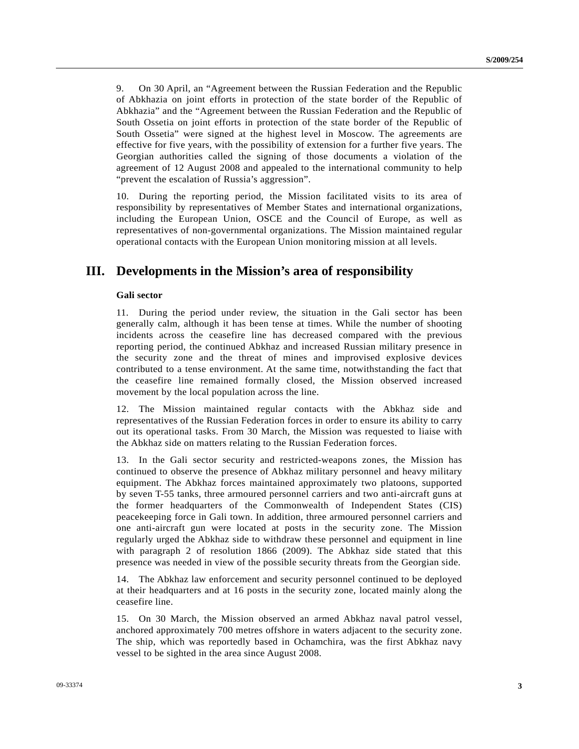9. On 30 April, an "Agreement between the Russian Federation and the Republic of Abkhazia on joint efforts in protection of the state border of the Republic of Abkhazia" and the "Agreement between the Russian Federation and the Republic of South Ossetia on joint efforts in protection of the state border of the Republic of South Ossetia" were signed at the highest level in Moscow. The agreements are effective for five years, with the possibility of extension for a further five years. The Georgian authorities called the signing of those documents a violation of the agreement of 12 August 2008 and appealed to the international community to help "prevent the escalation of Russia's aggression".

10. During the reporting period, the Mission facilitated visits to its area of responsibility by representatives of Member States and international organizations, including the European Union, OSCE and the Council of Europe, as well as representatives of non-governmental organizations. The Mission maintained regular operational contacts with the European Union monitoring mission at all levels.

#### **III. Developments in the Mission's area of responsibility**

#### **Gali sector**

11. During the period under review, the situation in the Gali sector has been generally calm, although it has been tense at times. While the number of shooting incidents across the ceasefire line has decreased compared with the previous reporting period, the continued Abkhaz and increased Russian military presence in the security zone and the threat of mines and improvised explosive devices contributed to a tense environment. At the same time, notwithstanding the fact that the ceasefire line remained formally closed, the Mission observed increased movement by the local population across the line.

12. The Mission maintained regular contacts with the Abkhaz side and representatives of the Russian Federation forces in order to ensure its ability to carry out its operational tasks. From 30 March, the Mission was requested to liaise with the Abkhaz side on matters relating to the Russian Federation forces.

13. In the Gali sector security and restricted-weapons zones, the Mission has continued to observe the presence of Abkhaz military personnel and heavy military equipment. The Abkhaz forces maintained approximately two platoons, supported by seven T-55 tanks, three armoured personnel carriers and two anti-aircraft guns at the former headquarters of the Commonwealth of Independent States (CIS) peacekeeping force in Gali town. In addition, three armoured personnel carriers and one anti-aircraft gun were located at posts in the security zone. The Mission regularly urged the Abkhaz side to withdraw these personnel and equipment in line with paragraph 2 of resolution 1866 (2009). The Abkhaz side stated that this presence was needed in view of the possible security threats from the Georgian side.

14. The Abkhaz law enforcement and security personnel continued to be deployed at their headquarters and at 16 posts in the security zone, located mainly along the ceasefire line.

15. On 30 March, the Mission observed an armed Abkhaz naval patrol vessel, anchored approximately 700 metres offshore in waters adjacent to the security zone. The ship, which was reportedly based in Ochamchira, was the first Abkhaz navy vessel to be sighted in the area since August 2008.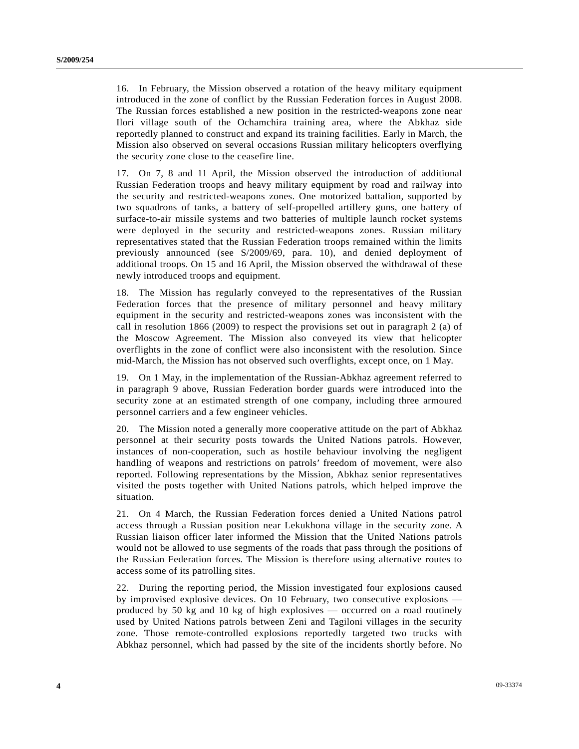16. In February, the Mission observed a rotation of the heavy military equipment introduced in the zone of conflict by the Russian Federation forces in August 2008. The Russian forces established a new position in the restricted-weapons zone near Ilori village south of the Ochamchira training area, where the Abkhaz side reportedly planned to construct and expand its training facilities. Early in March, the Mission also observed on several occasions Russian military helicopters overflying the security zone close to the ceasefire line.

17. On 7, 8 and 11 April, the Mission observed the introduction of additional Russian Federation troops and heavy military equipment by road and railway into the security and restricted-weapons zones. One motorized battalion, supported by two squadrons of tanks, a battery of self-propelled artillery guns, one battery of surface-to-air missile systems and two batteries of multiple launch rocket systems were deployed in the security and restricted-weapons zones. Russian military representatives stated that the Russian Federation troops remained within the limits previously announced (see S/2009/69, para. 10), and denied deployment of additional troops. On 15 and 16 April, the Mission observed the withdrawal of these newly introduced troops and equipment.

18. The Mission has regularly conveyed to the representatives of the Russian Federation forces that the presence of military personnel and heavy military equipment in the security and restricted-weapons zones was inconsistent with the call in resolution 1866 (2009) to respect the provisions set out in paragraph 2 (a) of the Moscow Agreement. The Mission also conveyed its view that helicopter overflights in the zone of conflict were also inconsistent with the resolution. Since mid-March, the Mission has not observed such overflights, except once, on 1 May.

19. On 1 May, in the implementation of the Russian-Abkhaz agreement referred to in paragraph 9 above, Russian Federation border guards were introduced into the security zone at an estimated strength of one company, including three armoured personnel carriers and a few engineer vehicles.

20. The Mission noted a generally more cooperative attitude on the part of Abkhaz personnel at their security posts towards the United Nations patrols. However, instances of non-cooperation, such as hostile behaviour involving the negligent handling of weapons and restrictions on patrols' freedom of movement, were also reported. Following representations by the Mission, Abkhaz senior representatives visited the posts together with United Nations patrols, which helped improve the situation.

21. On 4 March, the Russian Federation forces denied a United Nations patrol access through a Russian position near Lekukhona village in the security zone. A Russian liaison officer later informed the Mission that the United Nations patrols would not be allowed to use segments of the roads that pass through the positions of the Russian Federation forces. The Mission is therefore using alternative routes to access some of its patrolling sites.

22. During the reporting period, the Mission investigated four explosions caused by improvised explosive devices. On 10 February, two consecutive explosions produced by 50 kg and 10 kg of high explosives — occurred on a road routinely used by United Nations patrols between Zeni and Tagiloni villages in the security zone. Those remote-controlled explosions reportedly targeted two trucks with Abkhaz personnel, which had passed by the site of the incidents shortly before. No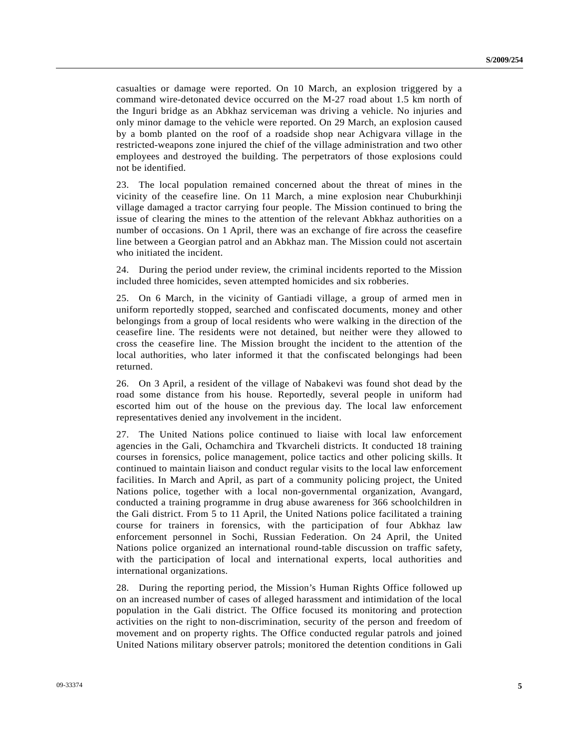casualties or damage were reported. On 10 March, an explosion triggered by a command wire-detonated device occurred on the M-27 road about 1.5 km north of the Inguri bridge as an Abkhaz serviceman was driving a vehicle. No injuries and only minor damage to the vehicle were reported. On 29 March, an explosion caused by a bomb planted on the roof of a roadside shop near Achigvara village in the restricted-weapons zone injured the chief of the village administration and two other employees and destroyed the building. The perpetrators of those explosions could not be identified.

23. The local population remained concerned about the threat of mines in the vicinity of the ceasefire line. On 11 March, a mine explosion near Chuburkhinji village damaged a tractor carrying four people. The Mission continued to bring the issue of clearing the mines to the attention of the relevant Abkhaz authorities on a number of occasions. On 1 April, there was an exchange of fire across the ceasefire line between a Georgian patrol and an Abkhaz man. The Mission could not ascertain who initiated the incident.

24. During the period under review, the criminal incidents reported to the Mission included three homicides, seven attempted homicides and six robberies.

25. On 6 March, in the vicinity of Gantiadi village, a group of armed men in uniform reportedly stopped, searched and confiscated documents, money and other belongings from a group of local residents who were walking in the direction of the ceasefire line. The residents were not detained, but neither were they allowed to cross the ceasefire line. The Mission brought the incident to the attention of the local authorities, who later informed it that the confiscated belongings had been returned.

26. On 3 April, a resident of the village of Nabakevi was found shot dead by the road some distance from his house. Reportedly, several people in uniform had escorted him out of the house on the previous day. The local law enforcement representatives denied any involvement in the incident.

27. The United Nations police continued to liaise with local law enforcement agencies in the Gali, Ochamchira and Tkvarcheli districts. It conducted 18 training courses in forensics, police management, police tactics and other policing skills. It continued to maintain liaison and conduct regular visits to the local law enforcement facilities. In March and April, as part of a community policing project, the United Nations police, together with a local non-governmental organization, Avangard, conducted a training programme in drug abuse awareness for 366 schoolchildren in the Gali district. From 5 to 11 April, the United Nations police facilitated a training course for trainers in forensics, with the participation of four Abkhaz law enforcement personnel in Sochi, Russian Federation. On 24 April, the United Nations police organized an international round-table discussion on traffic safety, with the participation of local and international experts, local authorities and international organizations.

28. During the reporting period, the Mission's Human Rights Office followed up on an increased number of cases of alleged harassment and intimidation of the local population in the Gali district. The Office focused its monitoring and protection activities on the right to non-discrimination, security of the person and freedom of movement and on property rights. The Office conducted regular patrols and joined United Nations military observer patrols; monitored the detention conditions in Gali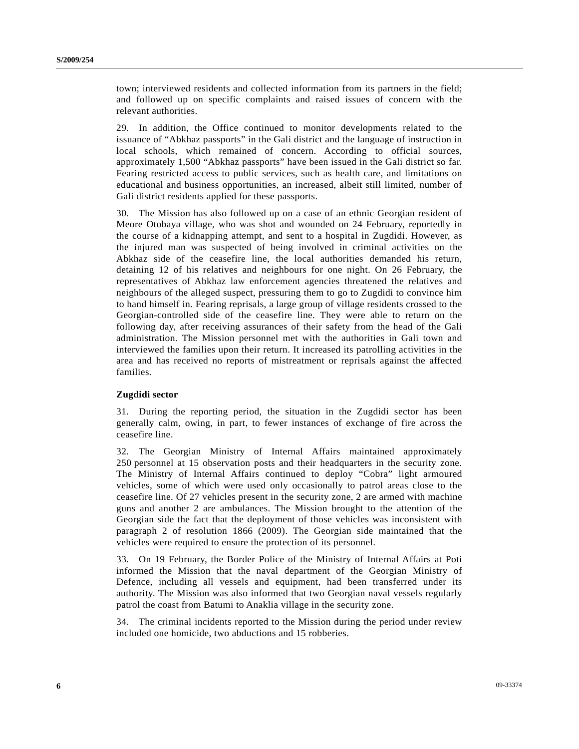town; interviewed residents and collected information from its partners in the field; and followed up on specific complaints and raised issues of concern with the relevant authorities.

29. In addition, the Office continued to monitor developments related to the issuance of "Abkhaz passports" in the Gali district and the language of instruction in local schools, which remained of concern. According to official sources, approximately 1,500 "Abkhaz passports" have been issued in the Gali district so far. Fearing restricted access to public services, such as health care, and limitations on educational and business opportunities, an increased, albeit still limited, number of Gali district residents applied for these passports.

30. The Mission has also followed up on a case of an ethnic Georgian resident of Meore Otobaya village, who was shot and wounded on 24 February, reportedly in the course of a kidnapping attempt, and sent to a hospital in Zugdidi. However, as the injured man was suspected of being involved in criminal activities on the Abkhaz side of the ceasefire line, the local authorities demanded his return, detaining 12 of his relatives and neighbours for one night. On 26 February, the representatives of Abkhaz law enforcement agencies threatened the relatives and neighbours of the alleged suspect, pressuring them to go to Zugdidi to convince him to hand himself in. Fearing reprisals, a large group of village residents crossed to the Georgian-controlled side of the ceasefire line. They were able to return on the following day, after receiving assurances of their safety from the head of the Gali administration. The Mission personnel met with the authorities in Gali town and interviewed the families upon their return. It increased its patrolling activities in the area and has received no reports of mistreatment or reprisals against the affected families.

#### **Zugdidi sector**

31. During the reporting period, the situation in the Zugdidi sector has been generally calm, owing, in part, to fewer instances of exchange of fire across the ceasefire line.

32. The Georgian Ministry of Internal Affairs maintained approximately 250 personnel at 15 observation posts and their headquarters in the security zone. The Ministry of Internal Affairs continued to deploy "Cobra" light armoured vehicles, some of which were used only occasionally to patrol areas close to the ceasefire line. Of 27 vehicles present in the security zone, 2 are armed with machine guns and another 2 are ambulances. The Mission brought to the attention of the Georgian side the fact that the deployment of those vehicles was inconsistent with paragraph 2 of resolution 1866 (2009). The Georgian side maintained that the vehicles were required to ensure the protection of its personnel.

33. On 19 February, the Border Police of the Ministry of Internal Affairs at Poti informed the Mission that the naval department of the Georgian Ministry of Defence, including all vessels and equipment, had been transferred under its authority. The Mission was also informed that two Georgian naval vessels regularly patrol the coast from Batumi to Anaklia village in the security zone.

34. The criminal incidents reported to the Mission during the period under review included one homicide, two abductions and 15 robberies.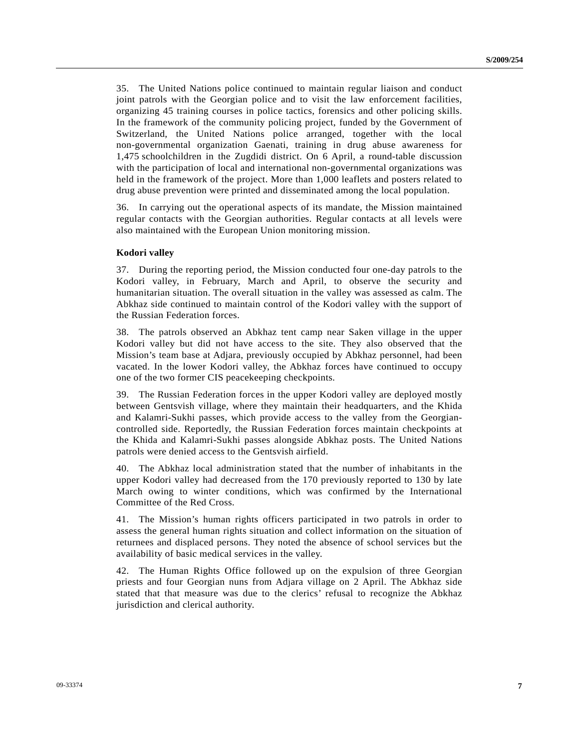35. The United Nations police continued to maintain regular liaison and conduct joint patrols with the Georgian police and to visit the law enforcement facilities, organizing 45 training courses in police tactics, forensics and other policing skills. In the framework of the community policing project, funded by the Government of Switzerland, the United Nations police arranged, together with the local non-governmental organization Gaenati, training in drug abuse awareness for 1,475 schoolchildren in the Zugdidi district. On 6 April, a round-table discussion with the participation of local and international non-governmental organizations was held in the framework of the project. More than 1,000 leaflets and posters related to drug abuse prevention were printed and disseminated among the local population.

36. In carrying out the operational aspects of its mandate, the Mission maintained regular contacts with the Georgian authorities. Regular contacts at all levels were also maintained with the European Union monitoring mission.

#### **Kodori valley**

37. During the reporting period, the Mission conducted four one-day patrols to the Kodori valley, in February, March and April, to observe the security and humanitarian situation. The overall situation in the valley was assessed as calm. The Abkhaz side continued to maintain control of the Kodori valley with the support of the Russian Federation forces.

38. The patrols observed an Abkhaz tent camp near Saken village in the upper Kodori valley but did not have access to the site. They also observed that the Mission's team base at Adjara, previously occupied by Abkhaz personnel, had been vacated. In the lower Kodori valley, the Abkhaz forces have continued to occupy one of the two former CIS peacekeeping checkpoints.

39. The Russian Federation forces in the upper Kodori valley are deployed mostly between Gentsvish village, where they maintain their headquarters, and the Khida and Kalamri-Sukhi passes, which provide access to the valley from the Georgiancontrolled side. Reportedly, the Russian Federation forces maintain checkpoints at the Khida and Kalamri-Sukhi passes alongside Abkhaz posts. The United Nations patrols were denied access to the Gentsvish airfield.

40. The Abkhaz local administration stated that the number of inhabitants in the upper Kodori valley had decreased from the 170 previously reported to 130 by late March owing to winter conditions, which was confirmed by the International Committee of the Red Cross.

41. The Mission's human rights officers participated in two patrols in order to assess the general human rights situation and collect information on the situation of returnees and displaced persons. They noted the absence of school services but the availability of basic medical services in the valley.

42. The Human Rights Office followed up on the expulsion of three Georgian priests and four Georgian nuns from Adjara village on 2 April. The Abkhaz side stated that that measure was due to the clerics' refusal to recognize the Abkhaz jurisdiction and clerical authority.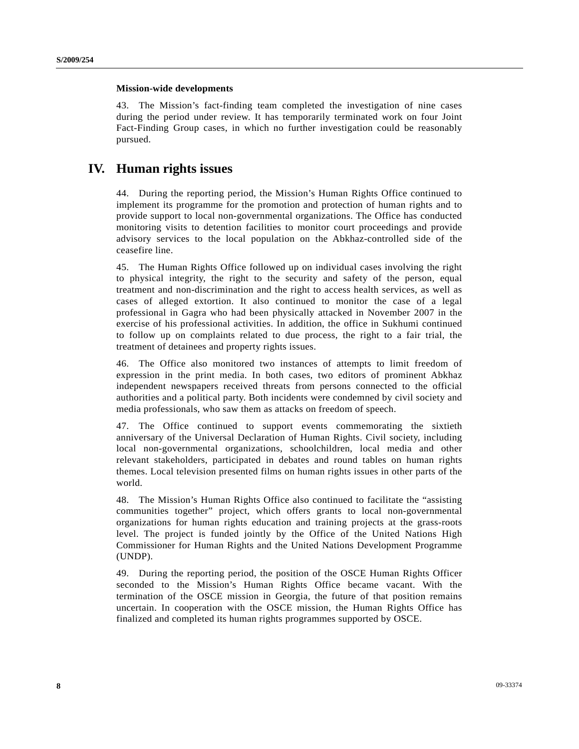#### **Mission-wide developments**

43. The Mission's fact-finding team completed the investigation of nine cases during the period under review. It has temporarily terminated work on four Joint Fact-Finding Group cases, in which no further investigation could be reasonably pursued.

### **IV. Human rights issues**

44. During the reporting period, the Mission's Human Rights Office continued to implement its programme for the promotion and protection of human rights and to provide support to local non-governmental organizations. The Office has conducted monitoring visits to detention facilities to monitor court proceedings and provide advisory services to the local population on the Abkhaz-controlled side of the ceasefire line.

45. The Human Rights Office followed up on individual cases involving the right to physical integrity, the right to the security and safety of the person, equal treatment and non-discrimination and the right to access health services, as well as cases of alleged extortion. It also continued to monitor the case of a legal professional in Gagra who had been physically attacked in November 2007 in the exercise of his professional activities. In addition, the office in Sukhumi continued to follow up on complaints related to due process, the right to a fair trial, the treatment of detainees and property rights issues.

46. The Office also monitored two instances of attempts to limit freedom of expression in the print media. In both cases, two editors of prominent Abkhaz independent newspapers received threats from persons connected to the official authorities and a political party. Both incidents were condemned by civil society and media professionals, who saw them as attacks on freedom of speech.

47. The Office continued to support events commemorating the sixtieth anniversary of the Universal Declaration of Human Rights. Civil society, including local non-governmental organizations, schoolchildren, local media and other relevant stakeholders, participated in debates and round tables on human rights themes. Local television presented films on human rights issues in other parts of the world.

48. The Mission's Human Rights Office also continued to facilitate the "assisting communities together" project, which offers grants to local non-governmental organizations for human rights education and training projects at the grass-roots level. The project is funded jointly by the Office of the United Nations High Commissioner for Human Rights and the United Nations Development Programme (UNDP).

49. During the reporting period, the position of the OSCE Human Rights Officer seconded to the Mission's Human Rights Office became vacant. With the termination of the OSCE mission in Georgia, the future of that position remains uncertain. In cooperation with the OSCE mission, the Human Rights Office has finalized and completed its human rights programmes supported by OSCE.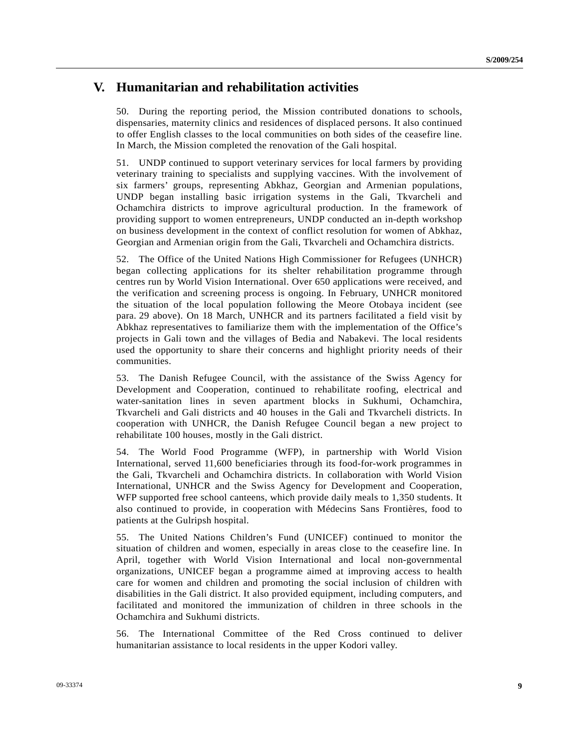#### **V. Humanitarian and rehabilitation activities**

50. During the reporting period, the Mission contributed donations to schools, dispensaries, maternity clinics and residences of displaced persons. It also continued to offer English classes to the local communities on both sides of the ceasefire line. In March, the Mission completed the renovation of the Gali hospital.

51. UNDP continued to support veterinary services for local farmers by providing veterinary training to specialists and supplying vaccines. With the involvement of six farmers' groups, representing Abkhaz, Georgian and Armenian populations, UNDP began installing basic irrigation systems in the Gali, Tkvarcheli and Ochamchira districts to improve agricultural production. In the framework of providing support to women entrepreneurs, UNDP conducted an in-depth workshop on business development in the context of conflict resolution for women of Abkhaz, Georgian and Armenian origin from the Gali, Tkvarcheli and Ochamchira districts.

52. The Office of the United Nations High Commissioner for Refugees (UNHCR) began collecting applications for its shelter rehabilitation programme through centres run by World Vision International. Over 650 applications were received, and the verification and screening process is ongoing. In February, UNHCR monitored the situation of the local population following the Meore Otobaya incident (see para. 29 above). On 18 March, UNHCR and its partners facilitated a field visit by Abkhaz representatives to familiarize them with the implementation of the Office's projects in Gali town and the villages of Bedia and Nabakevi. The local residents used the opportunity to share their concerns and highlight priority needs of their communities.

53. The Danish Refugee Council, with the assistance of the Swiss Agency for Development and Cooperation, continued to rehabilitate roofing, electrical and water-sanitation lines in seven apartment blocks in Sukhumi, Ochamchira, Tkvarcheli and Gali districts and 40 houses in the Gali and Tkvarcheli districts. In cooperation with UNHCR, the Danish Refugee Council began a new project to rehabilitate 100 houses, mostly in the Gali district.

54. The World Food Programme (WFP), in partnership with World Vision International, served 11,600 beneficiaries through its food-for-work programmes in the Gali, Tkvarcheli and Ochamchira districts. In collaboration with World Vision International, UNHCR and the Swiss Agency for Development and Cooperation, WFP supported free school canteens, which provide daily meals to 1,350 students. It also continued to provide, in cooperation with Médecins Sans Frontières, food to patients at the Gulripsh hospital.

55. The United Nations Children's Fund (UNICEF) continued to monitor the situation of children and women, especially in areas close to the ceasefire line. In April, together with World Vision International and local non-governmental organizations, UNICEF began a programme aimed at improving access to health care for women and children and promoting the social inclusion of children with disabilities in the Gali district. It also provided equipment, including computers, and facilitated and monitored the immunization of children in three schools in the Ochamchira and Sukhumi districts.

56. The International Committee of the Red Cross continued to deliver humanitarian assistance to local residents in the upper Kodori valley.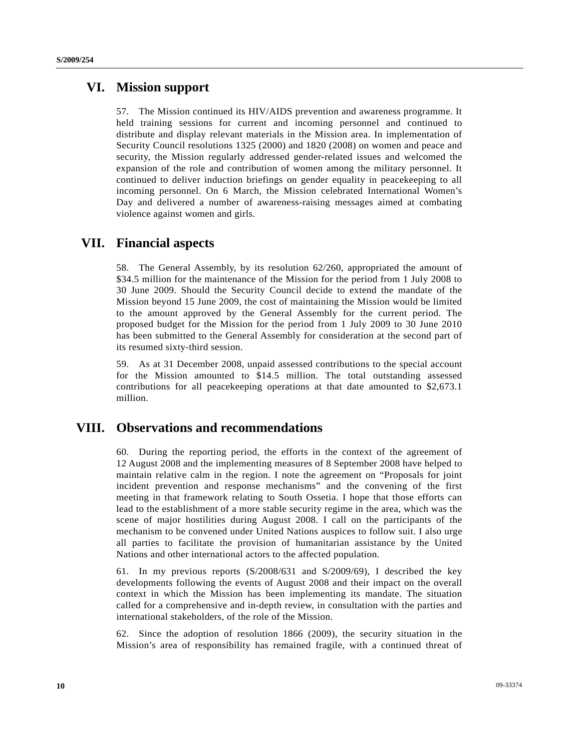#### **VI. Mission support**

57. The Mission continued its HIV/AIDS prevention and awareness programme. It held training sessions for current and incoming personnel and continued to distribute and display relevant materials in the Mission area. In implementation of Security Council resolutions 1325 (2000) and 1820 (2008) on women and peace and security, the Mission regularly addressed gender-related issues and welcomed the expansion of the role and contribution of women among the military personnel. It continued to deliver induction briefings on gender equality in peacekeeping to all incoming personnel. On 6 March, the Mission celebrated International Women's Day and delivered a number of awareness-raising messages aimed at combating violence against women and girls.

#### **VII. Financial aspects**

58. The General Assembly, by its resolution 62/260, appropriated the amount of \$34.5 million for the maintenance of the Mission for the period from 1 July 2008 to 30 June 2009. Should the Security Council decide to extend the mandate of the Mission beyond 15 June 2009, the cost of maintaining the Mission would be limited to the amount approved by the General Assembly for the current period. The proposed budget for the Mission for the period from 1 July 2009 to 30 June 2010 has been submitted to the General Assembly for consideration at the second part of its resumed sixty-third session.

59. As at 31 December 2008, unpaid assessed contributions to the special account for the Mission amounted to \$14.5 million. The total outstanding assessed contributions for all peacekeeping operations at that date amounted to \$2,673.1 million.

#### **VIII. Observations and recommendations**

60. During the reporting period, the efforts in the context of the agreement of 12 August 2008 and the implementing measures of 8 September 2008 have helped to maintain relative calm in the region. I note the agreement on "Proposals for joint incident prevention and response mechanisms" and the convening of the first meeting in that framework relating to South Ossetia. I hope that those efforts can lead to the establishment of a more stable security regime in the area, which was the scene of major hostilities during August 2008. I call on the participants of the mechanism to be convened under United Nations auspices to follow suit. I also urge all parties to facilitate the provision of humanitarian assistance by the United Nations and other international actors to the affected population.

61. In my previous reports (S/2008/631 and S/2009/69), I described the key developments following the events of August 2008 and their impact on the overall context in which the Mission has been implementing its mandate. The situation called for a comprehensive and in-depth review, in consultation with the parties and international stakeholders, of the role of the Mission.

62. Since the adoption of resolution 1866 (2009), the security situation in the Mission's area of responsibility has remained fragile, with a continued threat of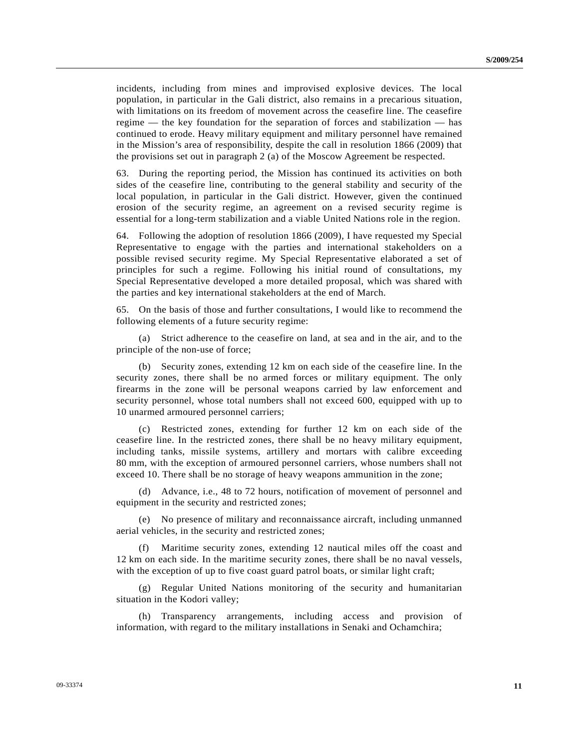incidents, including from mines and improvised explosive devices. The local population, in particular in the Gali district, also remains in a precarious situation, with limitations on its freedom of movement across the ceasefire line. The ceasefire regime — the key foundation for the separation of forces and stabilization — has continued to erode. Heavy military equipment and military personnel have remained in the Mission's area of responsibility, despite the call in resolution 1866 (2009) that the provisions set out in paragraph 2 (a) of the Moscow Agreement be respected.

63. During the reporting period, the Mission has continued its activities on both sides of the ceasefire line, contributing to the general stability and security of the local population, in particular in the Gali district. However, given the continued erosion of the security regime, an agreement on a revised security regime is essential for a long-term stabilization and a viable United Nations role in the region.

64. Following the adoption of resolution 1866 (2009), I have requested my Special Representative to engage with the parties and international stakeholders on a possible revised security regime. My Special Representative elaborated a set of principles for such a regime. Following his initial round of consultations, my Special Representative developed a more detailed proposal, which was shared with the parties and key international stakeholders at the end of March.

65. On the basis of those and further consultations, I would like to recommend the following elements of a future security regime:

 (a) Strict adherence to the ceasefire on land, at sea and in the air, and to the principle of the non-use of force;

 (b) Security zones, extending 12 km on each side of the ceasefire line. In the security zones, there shall be no armed forces or military equipment. The only firearms in the zone will be personal weapons carried by law enforcement and security personnel, whose total numbers shall not exceed 600, equipped with up to 10 unarmed armoured personnel carriers;

 (c) Restricted zones, extending for further 12 km on each side of the ceasefire line. In the restricted zones, there shall be no heavy military equipment, including tanks, missile systems, artillery and mortars with calibre exceeding 80 mm, with the exception of armoured personnel carriers, whose numbers shall not exceed 10. There shall be no storage of heavy weapons ammunition in the zone;

 (d) Advance, i.e., 48 to 72 hours, notification of movement of personnel and equipment in the security and restricted zones;

 (e) No presence of military and reconnaissance aircraft, including unmanned aerial vehicles, in the security and restricted zones;

Maritime security zones, extending 12 nautical miles off the coast and 12 km on each side. In the maritime security zones, there shall be no naval vessels, with the exception of up to five coast guard patrol boats, or similar light craft;

 (g) Regular United Nations monitoring of the security and humanitarian situation in the Kodori valley;

 (h) Transparency arrangements, including access and provision of information, with regard to the military installations in Senaki and Ochamchira;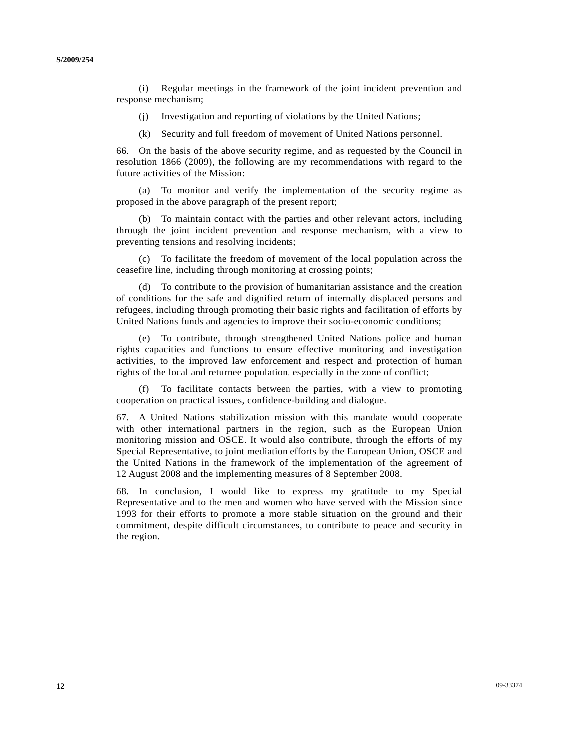(i) Regular meetings in the framework of the joint incident prevention and response mechanism;

(j) Investigation and reporting of violations by the United Nations;

(k) Security and full freedom of movement of United Nations personnel.

66. On the basis of the above security regime, and as requested by the Council in resolution 1866 (2009), the following are my recommendations with regard to the future activities of the Mission:

 (a) To monitor and verify the implementation of the security regime as proposed in the above paragraph of the present report;

 (b) To maintain contact with the parties and other relevant actors, including through the joint incident prevention and response mechanism, with a view to preventing tensions and resolving incidents;

 (c) To facilitate the freedom of movement of the local population across the ceasefire line, including through monitoring at crossing points;

 (d) To contribute to the provision of humanitarian assistance and the creation of conditions for the safe and dignified return of internally displaced persons and refugees, including through promoting their basic rights and facilitation of efforts by United Nations funds and agencies to improve their socio-economic conditions;

 (e) To contribute, through strengthened United Nations police and human rights capacities and functions to ensure effective monitoring and investigation activities, to the improved law enforcement and respect and protection of human rights of the local and returnee population, especially in the zone of conflict;

 (f) To facilitate contacts between the parties, with a view to promoting cooperation on practical issues, confidence-building and dialogue.

67. A United Nations stabilization mission with this mandate would cooperate with other international partners in the region, such as the European Union monitoring mission and OSCE. It would also contribute, through the efforts of my Special Representative, to joint mediation efforts by the European Union, OSCE and the United Nations in the framework of the implementation of the agreement of 12 August 2008 and the implementing measures of 8 September 2008.

68. In conclusion, I would like to express my gratitude to my Special Representative and to the men and women who have served with the Mission since 1993 for their efforts to promote a more stable situation on the ground and their commitment, despite difficult circumstances, to contribute to peace and security in the region.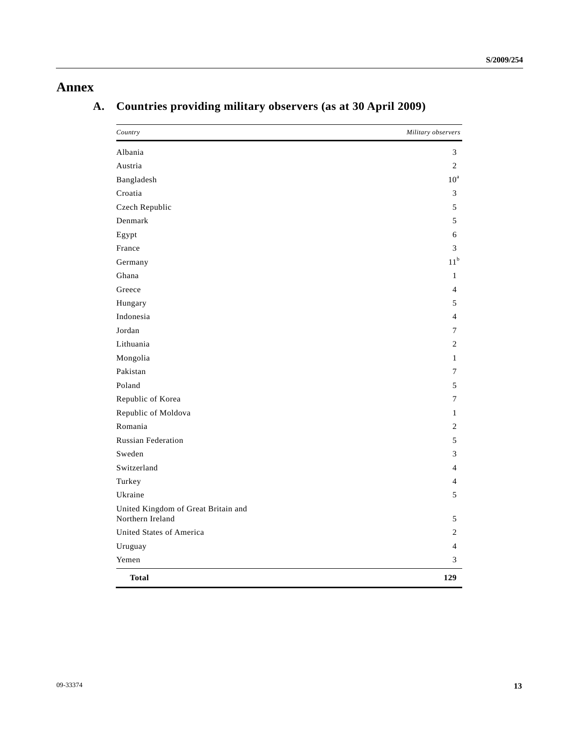## **Annex**

| Country                                                 | Military observers |
|---------------------------------------------------------|--------------------|
| Albania                                                 | 3                  |
| Austria                                                 | $\overline{2}$     |
| Bangladesh                                              | $10^a$             |
| Croatia                                                 | 3                  |
| Czech Republic                                          | 5                  |
| Denmark                                                 | 5                  |
| Egypt                                                   | 6                  |
| France                                                  | 3                  |
| Germany                                                 | 11 <sup>b</sup>    |
| Ghana                                                   | $\mathbf{1}$       |
| Greece                                                  | $\overline{4}$     |
| Hungary                                                 | 5                  |
| Indonesia                                               | $\overline{4}$     |
| Jordan                                                  | 7                  |
| Lithuania                                               | $\overline{c}$     |
| Mongolia                                                | $\mathbf{1}$       |
| Pakistan                                                | 7                  |
| Poland                                                  | 5                  |
| Republic of Korea                                       | 7                  |
| Republic of Moldova                                     | $\mathbf{1}$       |
| Romania                                                 | $\overline{c}$     |
| <b>Russian Federation</b>                               | 5                  |
| Sweden                                                  | 3                  |
| Switzerland                                             | $\overline{4}$     |
| Turkey                                                  | $\overline{4}$     |
| Ukraine                                                 | 5                  |
| United Kingdom of Great Britain and<br>Northern Ireland | 5                  |
| United States of America                                | $\overline{c}$     |
| Uruguay                                                 | $\overline{4}$     |
| Yemen                                                   | 3                  |
| <b>Total</b>                                            | 129                |

# **A. Countries providing military observers (as at 30 April 2009)**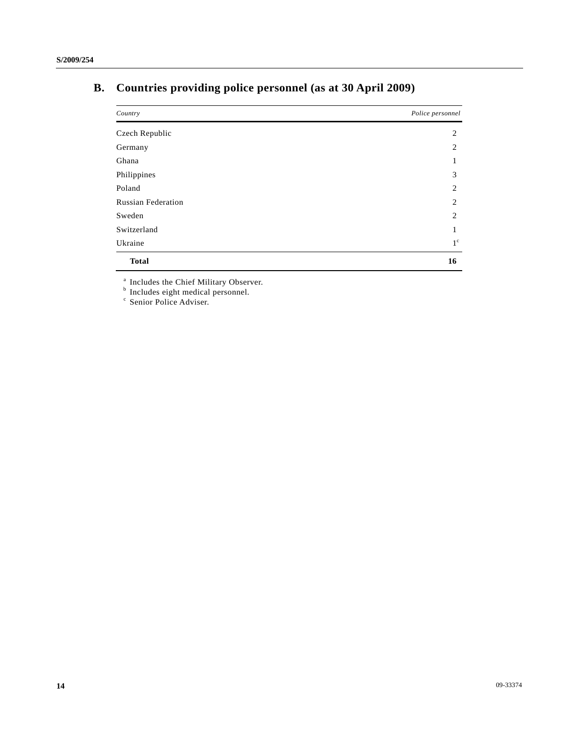# **B. Countries providing police personnel (as at 30 April 2009)**

| Country                   | Police personnel |
|---------------------------|------------------|
| Czech Republic            | 2                |
| Germany                   | 2                |
| Ghana                     | 1                |
| Philippines               | 3                |
| Poland                    | 2                |
| <b>Russian Federation</b> | 2                |
| Sweden                    | 2                |
| Switzerland               | 1                |
| Ukraine                   | $1^{\circ}$      |
| <b>Total</b>              | 16               |

<sup>a</sup> Includes the Chief Military Observer.<br><sup>b</sup> Includes eight medical personnel.<br><sup>c</sup> Senior Police Adviser.